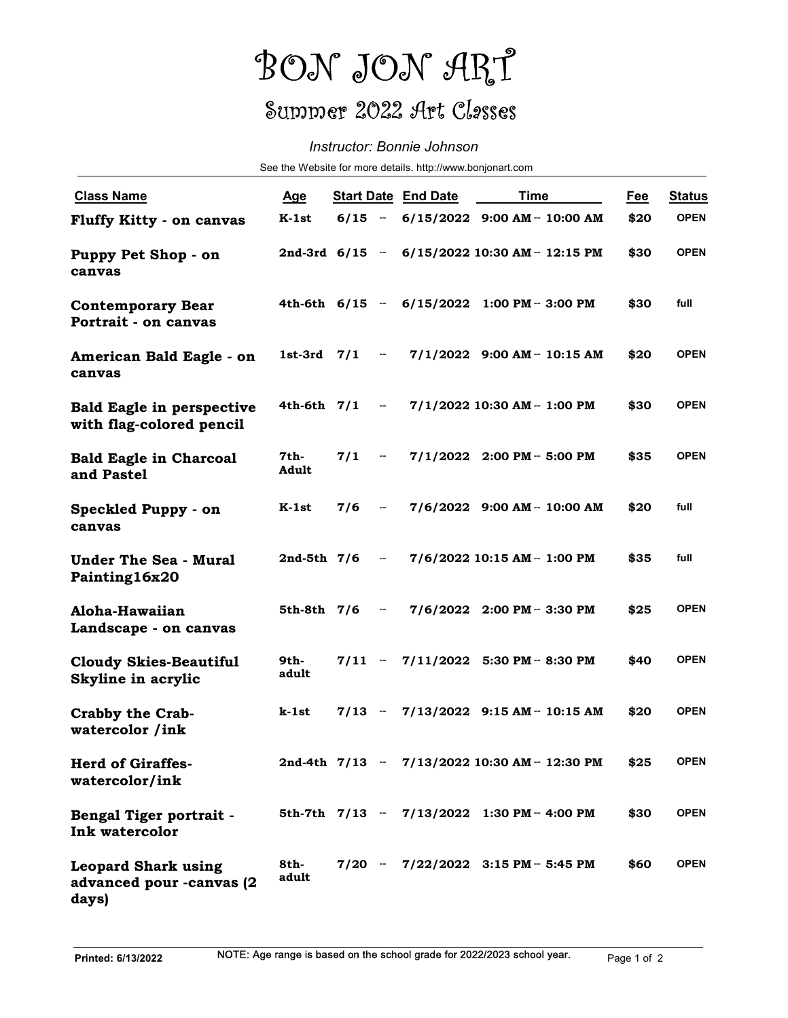## BON JON ART Summer 2022 Art Classes

## Instructor: Bonnie Johnson

|                                                                 | BON JON ART                                                |                            |                          |                            |                                                |            |               |  |  |  |  |
|-----------------------------------------------------------------|------------------------------------------------------------|----------------------------|--------------------------|----------------------------|------------------------------------------------|------------|---------------|--|--|--|--|
|                                                                 | Summer 2022 Art Classes                                    |                            |                          |                            |                                                |            |               |  |  |  |  |
|                                                                 |                                                            | Instructor: Bonnie Johnson |                          |                            |                                                |            |               |  |  |  |  |
|                                                                 | See the Website for more details. http://www.bonjonart.com |                            |                          |                            |                                                |            |               |  |  |  |  |
| <b>Class Name</b>                                               | <u>Age</u>                                                 |                            |                          | <b>Start Date End Date</b> | <b>Time</b>                                    | <u>Fee</u> | <b>Status</b> |  |  |  |  |
| <b>Fluffy Kitty - on canvas</b>                                 | K-1st                                                      |                            |                          |                            | $6/15 - 6/15/2022$ 9:00 AM - 10:00 AM          | \$20       | <b>OPEN</b>   |  |  |  |  |
| Puppy Pet Shop - on<br>canvas                                   |                                                            |                            |                          |                            | 2nd-3rd 6/15 - 6/15/2022 10:30 AM - 12:15 PM   | \$30       | <b>OPEN</b>   |  |  |  |  |
| <b>Contemporary Bear</b><br>Portrait - on canvas                |                                                            |                            |                          |                            | 4th-6th 6/15 - 6/15/2022 1:00 PM - 3:00 PM     | \$30       | full          |  |  |  |  |
| American Bald Eagle - on<br>canvas                              | $1st-3rd$ $7/1$                                            |                            | $\sim$ $-$               |                            | 7/1/2022 9:00 AM - 10:15 AM                    | \$20       | <b>OPEN</b>   |  |  |  |  |
| <b>Bald Eagle in perspective</b><br>with flag-colored pencil    | 4th-6th $7/1$                                              |                            | $\sim$ $-$               |                            | 7/1/2022 10:30 AM - 1:00 PM                    | \$30       | <b>OPEN</b>   |  |  |  |  |
| <b>Bald Eagle in Charcoal</b><br>and Pastel                     | 7th-<br>Adult                                              | 7/1                        | $\overline{\phantom{a}}$ |                            | $7/1/2022$ 2:00 PM - 5:00 PM                   | \$35       | <b>OPEN</b>   |  |  |  |  |
| Speckled Puppy - on<br>canvas                                   | K-1st                                                      | $7/6 -$                    |                          |                            | 7/6/2022 9:00 AM - 10:00 AM                    | \$20       | full          |  |  |  |  |
| <b>Under The Sea - Mural</b><br>Painting16x20                   | $2nd-5th$ 7/6 -                                            |                            |                          |                            | 7/6/2022 10:15 AM - 1:00 PM                    | \$35       | full          |  |  |  |  |
| Aloha-Hawaiian<br>Landscape - on canvas                         | 5th-8th $7/6$ -                                            |                            |                          |                            | $7/6/2022$ 2:00 PM - 3:30 PM                   | \$25       | <b>OPEN</b>   |  |  |  |  |
| <b>Cloudy Skies-Beautiful</b><br>Skyline in acrylic             | 9th-<br>adult                                              |                            |                          |                            | $7/11$ - $7/11/2022$ 5:30 PM - 8:30 PM         | \$40       | <b>OPEN</b>   |  |  |  |  |
| <b>Crabby the Crab-</b><br>watercolor /ink                      | k-1st                                                      |                            |                          |                            | $7/13$ - $7/13/2022$ 9:15 AM - 10:15 AM        | \$20       | <b>OPEN</b>   |  |  |  |  |
| <b>Herd of Giraffes-</b><br>watercolor/ink                      |                                                            |                            |                          |                            | 2nd-4th 7/13 -- 7/13/2022 10:30 AM -- 12:30 PM | \$25       | <b>OPEN</b>   |  |  |  |  |
| Bengal Tiger portrait -<br>Ink watercolor                       |                                                            |                            |                          |                            | 5th-7th 7/13 - 7/13/2022 1:30 PM - 4:00 PM     | \$30       | <b>OPEN</b>   |  |  |  |  |
| <b>Leopard Shark using</b><br>advanced pour -canvas (2<br>days) | 8th-<br>adult                                              |                            |                          |                            | $7/20$ - $7/22/2022$ 3:15 PM - 5:45 PM         | \$60       | <b>OPEN</b>   |  |  |  |  |